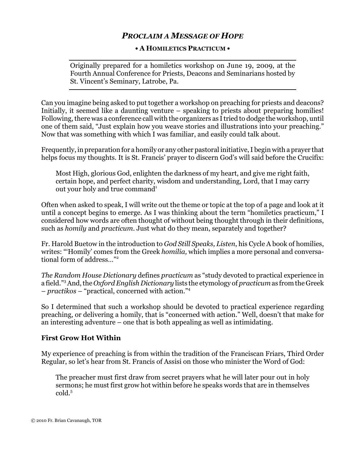# PROCLAIM A MESSAGE OF HOPE

#### • A HOMILETICS PRACTICUM •

Originally prepared for a homiletics workshop on June 19, 2009, at the Fourth Annual Conference for Priests, Deacons and Seminarians hosted by St. Vincent's Seminary, Latrobe, Pa.

Can you imagine being asked to put together a workshop on preaching for priests and deacons? Initially, it seemed like a daunting venture – speaking to priests about preparing homilies! Following, there was a conference call with the organizers as I tried to dodge the workshop, until one of them said, "Just explain how you weave stories and illustrations into your preaching." Now that was something with which I was familiar, and easily could talk about.

Frequently, in preparation for a homily or any other pastoral initiative, I begin with a prayer that helps focus my thoughts. It is St. Francis' prayer to discern God's will said before the Crucifix:

Most High, glorious God, enlighten the darkness of my heart, and give me right faith, certain hope, and perfect charity, wisdom and understanding, Lord, that I may carry out your holy and true command<sup>1</sup>

Often when asked to speak, I will write out the theme or topic at the top of a page and look at it until a concept begins to emerge. As I was thinking about the term "homiletics practicum," I considered how words are often thought of without being thought through in their definitions, such as homily and practicum. Just what do they mean, separately and together?

Fr. Harold Buetow in the introduction to God Still Speaks, Listen, his Cycle A book of homilies, writes: "'Homily' comes from the Greek homilia, which implies a more personal and conversational form of address…"<sup>2</sup>

The Random House Dictionary defines practicum as "study devoted to practical experience in a field."<sup>3</sup> And, the Oxford English Dictionary lists the etymology of practicum as from the Greek – practikos – "practical, concerned with action."<sup>4</sup>

So I determined that such a workshop should be devoted to practical experience regarding preaching, or delivering a homily, that is "concerned with action." Well, doesn't that make for an interesting adventure – one that is both appealing as well as intimidating.

## First Grow Hot Within

My experience of preaching is from within the tradition of the Franciscan Friars, Third Order Regular, so let's hear from St. Francis of Assisi on those who minister the Word of God:

The preacher must first draw from secret prayers what he will later pour out in holy sermons; he must first grow hot within before he speaks words that are in themselves cold.<sup>5</sup>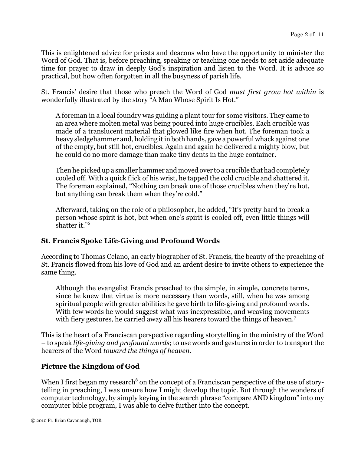This is enlightened advice for priests and deacons who have the opportunity to minister the Word of God. That is, before preaching, speaking or teaching one needs to set aside adequate time for prayer to draw in deeply God's inspiration and listen to the Word. It is advice so practical, but how often forgotten in all the busyness of parish life.

St. Francis' desire that those who preach the Word of God must first grow hot within is wonderfully illustrated by the story "A Man Whose Spirit Is Hot."

A foreman in a local foundry was guiding a plant tour for some visitors. They came to an area where molten metal was being poured into huge crucibles. Each crucible was made of a translucent material that glowed like fire when hot. The foreman took a heavy sledgehammer and, holding it in both hands, gave a powerful whack against one of the empty, but still hot, crucibles. Again and again he delivered a mighty blow, but he could do no more damage than make tiny dents in the huge container.

Then he picked up a smaller hammer and moved over to a crucible that had completely cooled off. With a quick flick of his wrist, he tapped the cold crucible and shattered it. The foreman explained, "Nothing can break one of those crucibles when they're hot, but anything can break them when they're cold."

Afterward, taking on the role of a philosopher, he added, "It's pretty hard to break a person whose spirit is hot, but when one's spirit is cooled off, even little things will shatter it."<sup>6</sup>

## St. Francis Spoke Life-Giving and Profound Words

According to Thomas Celano, an early biographer of St. Francis, the beauty of the preaching of St. Francis flowed from his love of God and an ardent desire to invite others to experience the same thing.

Although the evangelist Francis preached to the simple, in simple, concrete terms, since he knew that virtue is more necessary than words, still, when he was among spiritual people with greater abilities he gave birth to life-giving and profound words. With few words he would suggest what was inexpressible, and weaving movements with fiery gestures, he carried away all his hearers toward the things of heaven.<sup>7</sup>

This is the heart of a Franciscan perspective regarding storytelling in the ministry of the Word – to speak life-giving and profound words; to use words and gestures in order to transport the hearers of the Word toward the things of heaven.

## Picture the Kingdom of God

When I first began my research<sup>8</sup> on the concept of a Franciscan perspective of the use of storytelling in preaching, I was unsure how I might develop the topic. But through the wonders of computer technology, by simply keying in the search phrase "compare AND kingdom" into my computer bible program, I was able to delve further into the concept.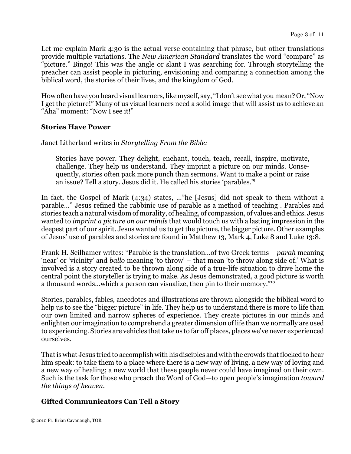Let me explain Mark 4:30 is the actual verse containing that phrase, but other translations provide multiple variations. The New American Standard translates the word "compare" as "picture." Bingo! This was the angle or slant I was searching for. Through storytelling the preacher can assist people in picturing, envisioning and comparing a connection among the biblical word, the stories of their lives, and the kingdom of God.

How often have you heard visual learners, like myself, say, "I don't see what you mean? Or, "Now I get the picture!" Many of us visual learners need a solid image that will assist us to achieve an "Aha" moment: "Now I see it!"

## Stories Have Power

Janet Litherland writes in Storytelling From the Bible:

Stories have power. They delight, enchant, touch, teach, recall, inspire, motivate, challenge. They help us understand. They imprint a picture on our minds. Consequently, stories often pack more punch than sermons. Want to make a point or raise an issue? Tell a story. Jesus did it. He called his stories 'parables.'<sup>9</sup>

In fact, the Gospel of Mark (4:34) states, …"he [Jesus] did not speak to them without a parable…" Jesus refined the rabbinic use of parable as a method of teaching . Parables and stories teach a natural wisdom of morality, of healing, of compassion, of values and ethics. Jesus wanted to imprint a picture on our minds that would touch us with a lasting impression in the deepest part of our spirit. Jesus wanted us to get the picture, the bigger picture. Other examples of Jesus' use of parables and stories are found in Matthew 13, Mark 4, Luke 8 and Luke 13:8.

Frank H. Seilhamer writes: "Parable is the translation…of two Greek terms – parah meaning 'near' or 'vicinity' and ballo meaning 'to throw' – that mean 'to throw along side of.' What is involved is a story created to be thrown along side of a true-life situation to drive home the central point the storyteller is trying to make. As Jesus demonstrated, a good picture is worth a thousand words…which a person can visualize, then pin to their memory."<sup>10</sup>

Stories, parables, fables, anecdotes and illustrations are thrown alongside the biblical word to help us to see the "bigger picture" in life. They help us to understand there is more to life than our own limited and narrow spheres of experience. They create pictures in our minds and enlighten our imagination to comprehend a greater dimension of life than we normally are used to experiencing. Stories are vehicles that take us to far off places, places we've never experienced ourselves.

That is what Jesus tried to accomplish with his disciples and with the crowds that flocked to hear him speak: to take them to a place where there is a new way of living, a new way of loving and a new way of healing; a new world that these people never could have imagined on their own. Such is the task for those who preach the Word of God—to open people's imagination toward the things of heaven.

# Gifted Communicators Can Tell a Story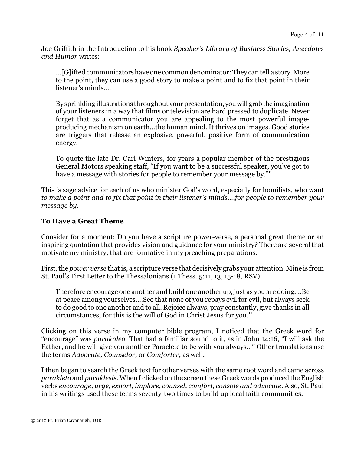Joe Griffith in the Introduction to his book Speaker's Library of Business Stories, Anecdotes and Humor writes:

…[G]ifted communicators have one common denominator: They can tell a story. More to the point, they can use a good story to make a point and to fix that point in their listener's minds.…

By sprinkling illustrations throughout your presentation, you will grab the imagination of your listeners in a way that films or television are hard pressed to duplicate. Never forget that as a communicator you are appealing to the most powerful imageproducing mechanism on earth…the human mind. It thrives on images. Good stories are triggers that release an explosive, powerful, positive form of communication energy.

To quote the late Dr. Carl Winters, for years a popular member of the prestigious General Motors speaking staff, "If you want to be a successful speaker, you've got to have a message with stories for people to remember your message by."<sup>11</sup>

This is sage advice for each of us who minister God's word, especially for homilists, who want to make a point and to fix that point in their listener's minds.…for people to remember your message by.

## To Have a Great Theme

Consider for a moment: Do you have a scripture power-verse, a personal great theme or an inspiring quotation that provides vision and guidance for your ministry? There are several that motivate my ministry, that are formative in my preaching preparations.

First, the power verse that is, a scripture verse that decisively grabs your attention. Mine is from St. Paul's First Letter to the Thessalonians (1 Thess. 5:11, 13, 15-18, RSV):

Therefore encourage one another and build one another up, just as you are doing.…Be at peace among yourselves.…See that none of you repays evil for evil, but always seek to do good to one another and to all. Rejoice always, pray constantly, give thanks in all circumstances; for this is the will of God in Christ Jesus for you.<sup>12</sup>

Clicking on this verse in my computer bible program, I noticed that the Greek word for "encourage" was parakaleo. That had a familiar sound to it, as in John 14:16, "I will ask the Father, and he will give you another Paraclete to be with you always…" Other translations use the terms Advocate, Counselor, or Comforter, as well.

I then began to search the Greek text for other verses with the same root word and came across parakleto and paraklesis. When I clicked on the screen these Greek words produced the English verbs encourage, urge, exhort, implore, counsel, comfort, console and advocate. Also, St. Paul in his writings used these terms seventy-two times to build up local faith communities.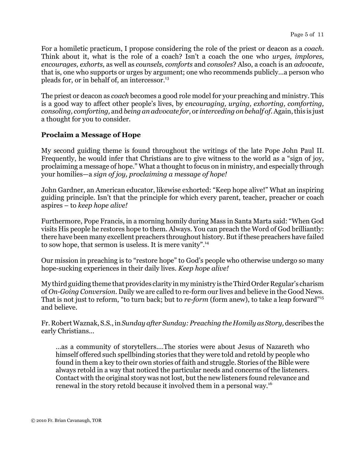For a homiletic practicum, I propose considering the role of the priest or deacon as a coach. Think about it, what is the role of a coach? Isn't a coach the one who *urges, implores,* encourages, exhorts, as well as counsels, comforts and consoles? Also, a coach is an advocate, that is, one who supports or urges by argument; one who recommends publicly…a person who pleads for, or in behalf of, an intercessor.<sup>13</sup>

The priest or deacon as *coach* becomes a good role model for your preaching and ministry. This is a good way to affect other people's lives, by encouraging, urging, exhorting, comforting, consoling, comforting, and being an advocate for, or interceding on behalf of. Again, this is just a thought for you to consider.

## Proclaim a Message of Hope

My second guiding theme is found throughout the writings of the late Pope John Paul II. Frequently, he would infer that Christians are to give witness to the world as a "sign of joy, proclaiming a message of hope." What a thought to focus on in ministry, and especially through your homilies—a sign of joy, proclaiming a message of hope!

John Gardner, an American educator, likewise exhorted: "Keep hope alive!" What an inspiring guiding principle. Isn't that the principle for which every parent, teacher, preacher or coach aspires – to keep hope alive!

Furthermore, Pope Francis, in a morning homily during Mass in Santa Marta said: "When God visits His people he restores hope to them. Always. You can preach the Word of God brilliantly: there have been many excellent preachers throughout history. But if these preachers have failed to sow hope, that sermon is useless. It is mere vanity".<sup>14</sup>

Our mission in preaching is to "restore hope" to God's people who otherwise undergo so many hope-sucking experiences in their daily lives. Keep hope alive!

My third guiding theme that provides clarity in my ministry is the Third Order Regular's charism of On-Going Conversion. Daily we are called to re-form our lives and believe in the Good News. That is not just to reform, "to turn back; but to re-form (form anew), to take a leap forward"<sup>15</sup> and believe.

Fr. Robert Waznak, S.S., in Sunday after Sunday: Preaching the Homily as Story, describes the early Christians…

…as a community of storytellers.…The stories were about Jesus of Nazareth who himself offered such spellbinding stories that they were told and retold by people who found in them a key to their own stories of faith and struggle. Stories of the Bible were always retold in a way that noticed the particular needs and concerns of the listeners. Contact with the original story was not lost, but the new listeners found relevance and renewal in the story retold because it involved them in a personal way.<sup>16</sup>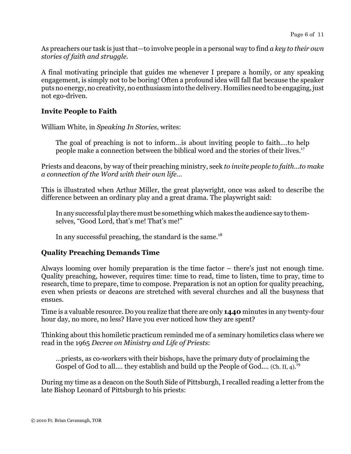As preachers our task is just that—to involve people in a personal way to find a key to their own stories of faith and struggle.

A final motivating principle that guides me whenever I prepare a homily, or any speaking engagement, is simply not to be boring! Often a profound idea will fall flat because the speaker puts no energy, no creativity, no enthusiasm into the delivery. Homilies need to be engaging, just not ego-driven.

## Invite People to Faith

William White, in Speaking In Stories, writes:

The goal of preaching is not to inform…is about inviting people to faith.…to help people make a connection between the biblical word and the stories of their lives.<sup>17</sup>

Priests and deacons, by way of their preaching ministry, seek to invite people to faith…to make a connection of the Word with their own life…

This is illustrated when Arthur Miller, the great playwright, once was asked to describe the difference between an ordinary play and a great drama. The playwright said:

In any successful play there must be something which makes the audience say to themselves, "Good Lord, that's me! That's me!"

In any successful preaching, the standard is the same. $^{18}$ 

## Quality Preaching Demands Time

Always looming over homily preparation is the time factor – there's just not enough time. Quality preaching, however, requires time: time to read, time to listen, time to pray, time to research, time to prepare, time to compose. Preparation is not an option for quality preaching, even when priests or deacons are stretched with several churches and all the busyness that ensues.

Time is a valuable resource. Do you realize that there are only **1440** minutes in any twenty-four hour day, no more, no less? Have you ever noticed how they are spent?

Thinking about this homiletic practicum reminded me of a seminary homiletics class where we read in the 1965 Decree on Ministry and Life of Priests:

…priests, as co-workers with their bishops, have the primary duty of proclaiming the Gospel of God to all.... they establish and build up the People of God.... (Ch. II, 4).<sup>19</sup>

During my time as a deacon on the South Side of Pittsburgh, I recalled reading a letter from the late Bishop Leonard of Pittsburgh to his priests: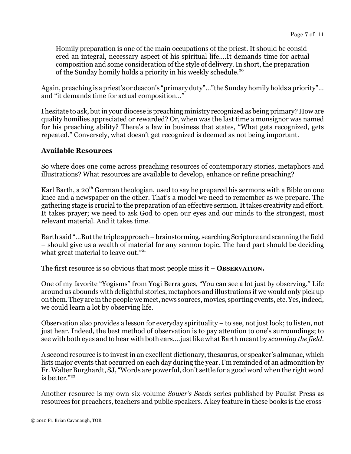Homily preparation is one of the main occupations of the priest. It should be considered an integral, necessary aspect of his spiritual life.…It demands time for actual composition and some consideration of the style of delivery. In short, the preparation of the Sunday homily holds a priority in his weekly schedule.<sup>20</sup>

Again, preaching is a priest's or deacon's "primary duty"…"the Sunday homily holds a priority"… and "it demands time for actual composition…"

I hesitate to ask, but in your diocese is preaching ministry recognized as being primary? How are quality homilies appreciated or rewarded? Or, when was the last time a monsignor was named for his preaching ability? There's a law in business that states, "What gets recognized, gets repeated." Conversely, what doesn't get recognized is deemed as not being important.

#### Available Resources

So where does one come across preaching resources of contemporary stories, metaphors and illustrations? What resources are available to develop, enhance or refine preaching?

Karl Barth, a  $20<sup>th</sup>$  German theologian, used to say he prepared his sermons with a Bible on one knee and a newspaper on the other. That's a model we need to remember as we prepare. The gathering stage is crucial to the preparation of an effective sermon. It takes creativity and effort. It takes prayer; we need to ask God to open our eyes and our minds to the strongest, most relevant material. And it takes time.

Barth said "…But the triple approach – brainstorming, searching Scripture and scanning the field – should give us a wealth of material for any sermon topic. The hard part should be deciding what great material to leave out."<sup>21</sup>

The first resource is so obvious that most people miss  $it -$ **OBSERVATION.** 

One of my favorite "Yogisms" from Yogi Berra goes, "You can see a lot just by observing." Life around us abounds with delightful stories, metaphors and illustrations if we would only pick up on them. They are in the people we meet, news sources, movies, sporting events, etc. Yes, indeed, we could learn a lot by observing life.

Observation also provides a lesson for everyday spirituality – to see, not just look; to listen, not just hear. Indeed, the best method of observation is to pay attention to one's surroundings; to see with both eyes and to hear with both ears.…just like what Barth meant by scanning the field.

A second resource is to invest in an excellent dictionary, thesaurus, or speaker's almanac, which lists major events that occurred on each day during the year. I'm reminded of an admonition by Fr. Walter Burghardt, SJ, "Words are powerful, don't settle for a good word when the right word is better."22

Another resource is my own six-volume Sower's Seeds series published by Paulist Press as resources for preachers, teachers and public speakers. A key feature in these books is the cross-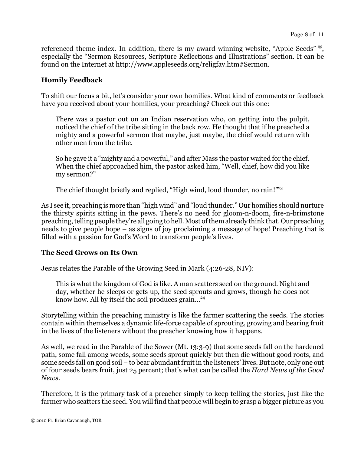referenced theme index. In addition, there is my award winning website, "Apple Seeds" ®, especially the "Sermon Resources, Scripture Reflections and Illustrations" section. It can be found on the Internet at http://www.appleseeds.org/religfav.htm#Sermon.

#### Homily Feedback

To shift our focus a bit, let's consider your own homilies. What kind of comments or feedback have you received about your homilies, your preaching? Check out this one:

There was a pastor out on an Indian reservation who, on getting into the pulpit, noticed the chief of the tribe sitting in the back row. He thought that if he preached a mighty and a powerful sermon that maybe, just maybe, the chief would return with other men from the tribe.

So he gave it a "mighty and a powerful," and after Mass the pastor waited for the chief. When the chief approached him, the pastor asked him, "Well, chief, how did you like my sermon?"

The chief thought briefly and replied, "High wind, loud thunder, no rain!"<sup>23</sup>

As I see it, preaching is more than "high wind" and "loud thunder." Our homilies should nurture the thirsty spirits sitting in the pews. There's no need for gloom-n-doom, fire-n-brimstone preaching, telling people they're all going to hell. Most of them already think that. Our preaching needs to give people hope – as signs of joy proclaiming a message of hope! Preaching that is filled with a passion for God's Word to transform people's lives.

## The Seed Grows on Its Own

Jesus relates the Parable of the Growing Seed in Mark (4:26-28, NIV):

This is what the kingdom of God is like. A man scatters seed on the ground. Night and day, whether he sleeps or gets up, the seed sprouts and grows, though he does not know how. All by itself the soil produces grain...<sup>24</sup>

Storytelling within the preaching ministry is like the farmer scattering the seeds. The stories contain within themselves a dynamic life-force capable of sprouting, growing and bearing fruit in the lives of the listeners without the preacher knowing how it happens.

As well, we read in the Parable of the Sower (Mt. 13:3-9) that some seeds fall on the hardened path, some fall among weeds, some seeds sprout quickly but then die without good roots, and some seeds fall on good soil – to bear abundant fruit in the listeners' lives. But note, only one out of four seeds bears fruit, just 25 percent; that's what can be called the Hard News of the Good News.

Therefore, it is the primary task of a preacher simply to keep telling the stories, just like the farmer who scatters the seed. You will find that people will begin to grasp a bigger picture as you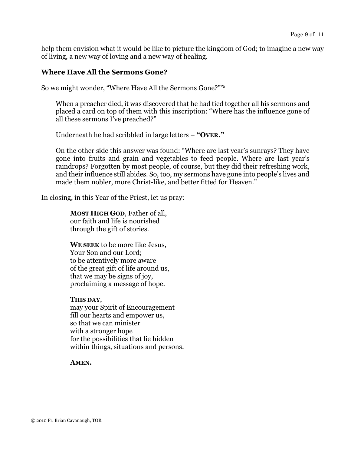help them envision what it would be like to picture the kingdom of God; to imagine a new way of living, a new way of loving and a new way of healing.

#### Where Have All the Sermons Gone?

So we might wonder, "Where Have All the Sermons Gone?"<sup>25</sup>

When a preacher died, it was discovered that he had tied together all his sermons and placed a card on top of them with this inscription: "Where has the influence gone of all these sermons I've preached?"

Underneath he had scribbled in large letters – "OVER."

On the other side this answer was found: "Where are last year's sunrays? They have gone into fruits and grain and vegetables to feed people. Where are last year's raindrops? Forgotten by most people, of course, but they did their refreshing work, and their influence still abides. So, too, my sermons have gone into people's lives and made them nobler, more Christ-like, and better fitted for Heaven."

In closing, in this Year of the Priest, let us pray:

MOST HIGH GOD, Father of all, our faith and life is nourished through the gift of stories.

WE SEEK to be more like Jesus, Your Son and our Lord; to be attentively more aware of the great gift of life around us, that we may be signs of joy, proclaiming a message of hope.

#### THIS DAY,

may your Spirit of Encouragement fill our hearts and empower us, so that we can minister with a stronger hope for the possibilities that lie hidden within things, situations and persons.

#### AMEN.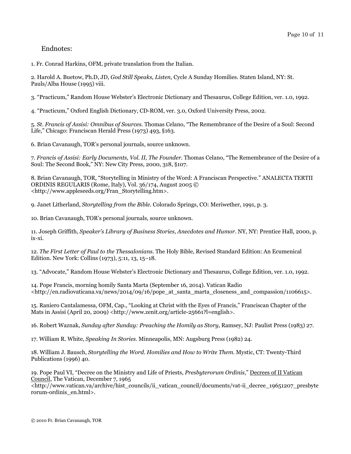#### Endnotes:

1. Fr. Conrad Harkins, OFM, private translation from the Italian.

2. Harold A. Buetow, Ph.D, JD, God Still Speaks, Listen, Cycle A Sunday Homilies. Staten Island, NY: St. Pauls/Alba House (1995) viii.

3. "Practicum," Random House Webster's Electronic Dictionary and Thesaurus, College Edition, ver. 1.0, 1992.

4. "Practicum," Oxford English Dictionary, CD-ROM, ver. 3.0, Oxford University Press, 2002.

5. St. Francis of Assisi: Omnibus of Sources. Thomas Celano, "The Remembrance of the Desire of a Soul: Second Life," Chicago: Franciscan Herald Press (1973) 493, §163.

6. Brian Cavanaugh, TOR's personal journals, source unknown.

7. Francis of Assisi: Early Documents, Vol. II, The Founder. Thomas Celano, "The Remembrance of the Desire of a Soul: The Second Book," NY: New City Press, 2000, 318, §107.

8. Brian Cavanaugh, TOR, "Storytelling in Ministry of the Word: A Franciscan Perspective." ANALECTA TERTII ORDINIS REGULARIS (Rome, Italy), Vol. 36/174, August 2005 © <http://www.appleseeds.org/Fran\_Storytelling.htm>.

9. Janet Litherland, Storytelling from the Bible. Colorado Springs, CO: Meriwether, 1991, p. 3.

10. Brian Cavanaugh, TOR's personal journals, source unknown.

11. Joseph Griffith, Speaker's Library of Business Stories, Anecdotes and Humor. NY, NY: Prentice Hall, 2000, p. ix-xi.

12. The First Letter of Paul to the Thessalonians. The Holy Bible, Revised Standard Edition: An Ecumenical Edition. New York: Collins (1973), 5:11, 13, 15–18.

13. "Advocate," Random House Webster's Electronic Dictionary and Thesaurus, College Edition, ver. 1.0, 1992.

14. Pope Francis, morning homily Santa Marta (September 16, 2014). Vatican Radio  $\text{thtn:}/\text{en.radiovaticana}.$ va/news/2014/09/16/pope\_at\_santa\_marta\_closeness\_and\_compassion/1106615>.

15. Raniero Cantalamessa, OFM, Cap., "Looking at Christ with the Eyes of Francis," Franciscan Chapter of the Mats in Assisi (April 20, 2009) <http://www.zenit.org/article-25661?l=english>.

16. Robert Waznak, Sunday after Sunday: Preaching the Homily as Story, Ramsey, NJ: Paulist Press (1983) 27.

17. William R. White, Speaking In Stories. Minneapolis, MN: Augsburg Press (1982) 24.

18. William J. Bausch, Storytelling the Word. Homilies and How to Write Them. Mystic, CT: Twenty-Third Publications (1996) 40.

19. Pope Paul VI, "Decree on the Ministry and Life of Priests, Presbyterorum Ordinis," Decrees of II Vatican Council, The Vatican, December 7, 1965

<http://www.vatican.va/archive/hist\_councils/ii\_vatican\_council/documents/vat-ii\_decree\_19651207\_presbyte rorum-ordinis\_en.html>.